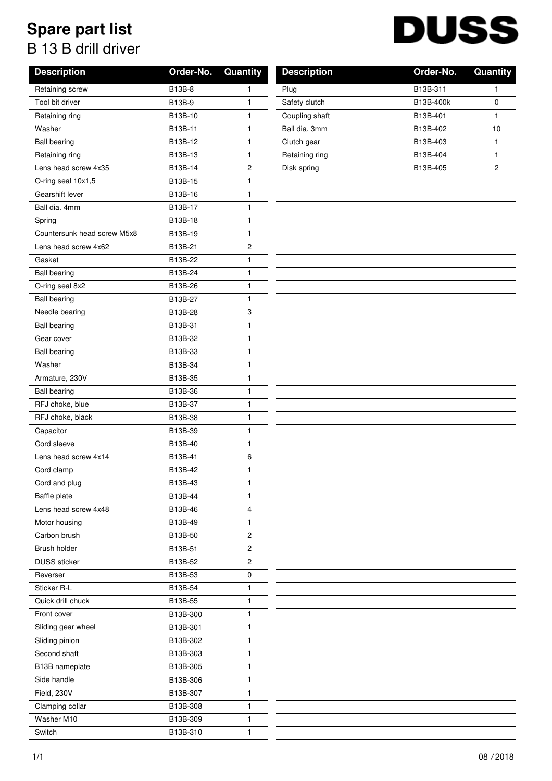## **Spare part list** B 13 B drill driver

## **DUSS**

| <b>Description</b>          | Order-No. | Quantity     | <b>Description</b> | Order-No. | Quant          |
|-----------------------------|-----------|--------------|--------------------|-----------|----------------|
| Retaining screw             | B13B-8    | 1            | Plug               | B13B-311  | 1              |
| Tool bit driver             | B13B-9    | 1            | Safety clutch      | B13B-400k | 0              |
| Retaining ring              | B13B-10   | 1            | Coupling shaft     | B13B-401  | $\mathbf{1}$   |
| Washer                      | B13B-11   | 1            | Ball dia. 3mm      | B13B-402  | 10             |
| <b>Ball bearing</b>         | B13B-12   | 1            | Clutch gear        | B13B-403  | 1              |
| Retaining ring              | B13B-13   | 1            | Retaining ring     | B13B-404  | 1              |
| Lens head screw 4x35        | B13B-14   | 2            | Disk spring        | B13B-405  | $\overline{c}$ |
| O-ring seal 10x1,5          | B13B-15   | 1            |                    |           |                |
| Gearshift lever             | B13B-16   | 1            |                    |           |                |
| Ball dia. 4mm               | B13B-17   | 1            |                    |           |                |
| Spring                      | B13B-18   | 1            |                    |           |                |
| Countersunk head screw M5x8 | B13B-19   | 1            |                    |           |                |
| Lens head screw 4x62        | B13B-21   | 2            |                    |           |                |
| Gasket                      | B13B-22   | 1            |                    |           |                |
| <b>Ball bearing</b>         | B13B-24   | 1            |                    |           |                |
| O-ring seal 8x2             | B13B-26   | 1            |                    |           |                |
| <b>Ball bearing</b>         | B13B-27   | 1            |                    |           |                |
| Needle bearing              | B13B-28   | 3            |                    |           |                |
| <b>Ball bearing</b>         | B13B-31   | 1            |                    |           |                |
| Gear cover                  | B13B-32   | 1            |                    |           |                |
| <b>Ball bearing</b>         | B13B-33   | 1            |                    |           |                |
| Washer                      | B13B-34   | 1            |                    |           |                |
| Armature, 230V              | B13B-35   | 1            |                    |           |                |
| <b>Ball bearing</b>         | B13B-36   | $\mathbf{1}$ |                    |           |                |
| RFJ choke, blue             | B13B-37   | $\mathbf{1}$ |                    |           |                |
| RFJ choke, black            | B13B-38   | 1            |                    |           |                |
| Capacitor                   | B13B-39   | 1            |                    |           |                |
| Cord sleeve                 | B13B-40   | 1            |                    |           |                |
| Lens head screw 4x14        | B13B-41   | 6            |                    |           |                |
| Cord clamp                  | B13B-42   | 1            |                    |           |                |
| Cord and plug               | B13B-43   | 1            |                    |           |                |
| <b>Baffle plate</b>         | B13B-44   | 1            |                    |           |                |
| Lens head screw 4x48        | B13B-46   | 4            |                    |           |                |
| Motor housing               | B13B-49   | 1            |                    |           |                |
| Carbon brush                | B13B-50   | 2            |                    |           |                |
| Brush holder                | B13B-51   | 2            |                    |           |                |
| <b>DUSS</b> sticker         | B13B-52   | $\sqrt{2}$   |                    |           |                |
| Reverser                    | B13B-53   | 0            |                    |           |                |
| Sticker R-L                 | B13B-54   | 1            |                    |           |                |
| Quick drill chuck           | B13B-55   | 1            |                    |           |                |
| Front cover                 | B13B-300  | 1            |                    |           |                |
| Sliding gear wheel          | B13B-301  | 1            |                    |           |                |
| Sliding pinion              | B13B-302  | 1            |                    |           |                |
| Second shaft                | B13B-303  | 1            |                    |           |                |
| B13B nameplate              | B13B-305  | 1            |                    |           |                |
| Side handle                 | B13B-306  | 1            |                    |           |                |
| Field, 230V                 | B13B-307  | 1            |                    |           |                |
| Clamping collar             | B13B-308  | 1            |                    |           |                |
| Washer M10                  | B13B-309  | 1            |                    |           |                |
| Switch                      | B13B-310  | 1            |                    |           |                |

| <b>Description</b> | Order-No. | Quantity |
|--------------------|-----------|----------|
| Plug               | B13B-311  | 1        |
| Safety clutch      | B13B-400k | 0        |
| Coupling shaft     | B13B-401  | 1        |
| Ball dia. 3mm      | B13B-402  | 10       |
| Clutch gear        | B13B-403  | 1        |
| Retaining ring     | B13B-404  | 1        |
| Disk spring        | B13B-405  | 2        |
|                    |           |          |
|                    |           |          |
|                    |           |          |
|                    |           |          |
|                    |           |          |
|                    |           |          |
|                    |           |          |
|                    |           |          |
|                    |           |          |
|                    |           |          |
|                    |           |          |
|                    |           |          |
|                    |           |          |
|                    |           |          |
|                    |           |          |
|                    |           |          |
|                    |           |          |
|                    |           |          |
|                    |           |          |
|                    |           |          |
|                    |           |          |
|                    |           |          |
|                    |           |          |
|                    |           |          |
|                    |           |          |
|                    |           |          |
|                    |           |          |
|                    |           |          |
|                    |           |          |
|                    |           |          |
|                    |           |          |
|                    |           |          |
|                    |           |          |
|                    |           |          |
|                    |           |          |